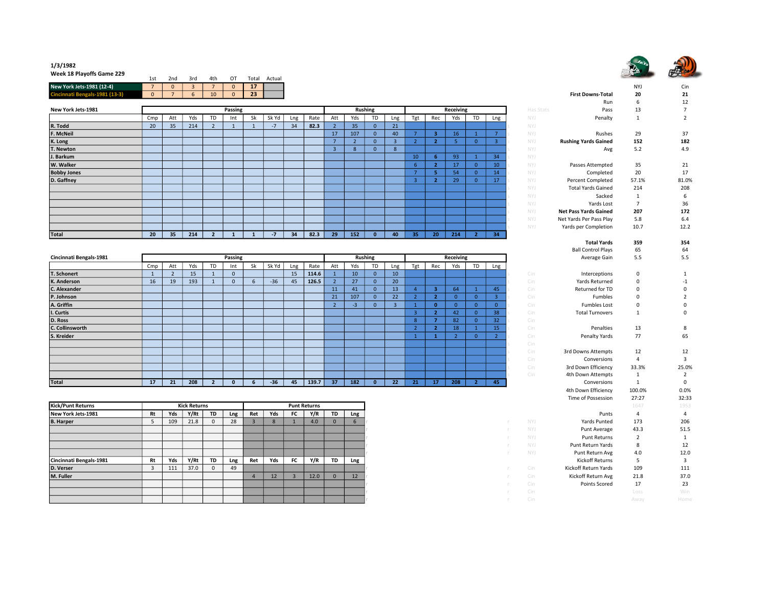

## 1/3/1982 Week 18 Playoffs Game 229

| WEEK 10 FIGYONS GAME 223  | 1st | 2nd      | 3rd | 4th              | OT | $\tau$ otal | Actual |                          |     |                        |
|---------------------------|-----|----------|-----|------------------|----|-------------|--------|--------------------------|-----|------------------------|
| New York Jets-1981 (12-4) |     | $\Omega$ |     |                  |    | $\sim$<br>- |        |                          | NY. | <b>.</b><br><b>CID</b> |
| $.5 - 1981(13-3)$         |     |          |     | 10 <sup>10</sup> |    | 23          |        | <b>First Downs-Total</b> | 20  | 21<br>--               |

|                    |                 |     |     |    |         |    |       |     |      |     |     |                |     |     |                 |                 |          |     |           | ,,,,,,                       |       |       |
|--------------------|-----------------|-----|-----|----|---------|----|-------|-----|------|-----|-----|----------------|-----|-----|-----------------|-----------------|----------|-----|-----------|------------------------------|-------|-------|
| New York Jets-1981 |                 |     |     |    | Passing |    |       |     |      |     |     | <b>Rushing</b> |     |     |                 | Receiving       |          |     | Has Stats | Pass                         | 13    |       |
|                    | Cmp             | Att | Yds | TD | Int     | Sk | Sk Yd | Lng | Rate | Att | Yds | TD             | Lng | Tgt | Rec             | Yds             | TD       | Lng | NYJ       | Penalty                      |       |       |
| R. Todd            | 20 <sup>°</sup> | 35  | 214 |    |         |    | $-7$  | 34  | 82.3 |     | 35  |                | 21  |     |                 |                 |          |     | NYJ       |                              |       |       |
| F. McNeil          |                 |     |     |    |         |    |       |     |      | 17  | 107 |                | 40  |     |                 | 16 <sup>1</sup> |          |     | NYJ       | Rushes                       | 29    | 37    |
| K. Long            |                 |     |     |    |         |    |       |     |      |     |     |                |     |     |                 |                 |          |     | NYJ       | <b>Rushing Yards Gained</b>  | 152   | 182   |
| T. Newton          |                 |     |     |    |         |    |       |     |      |     |     |                | 8   |     |                 |                 |          |     | NYJ       | Avg                          | 5.2   | 4.9   |
| J. Barkum          |                 |     |     |    |         |    |       |     |      |     |     |                |     | 10  |                 | 93              |          | 34  | NYJ       |                              |       |       |
| W. Walker          |                 |     |     |    |         |    |       |     |      |     |     |                |     | -6  |                 | 17              | $\Omega$ | 10  | NYJ       | Passes Attempted             | 35    | 21    |
| <b>Bobby Jones</b> |                 |     |     |    |         |    |       |     |      |     |     |                |     |     |                 | 54              |          | 14  | NYJ       | Completed                    | 20    | 17    |
| D. Gaffney         |                 |     |     |    |         |    |       |     |      |     |     |                |     |     |                 | 29              |          | 17  | NYJ       | <b>Percent Completed</b>     | 57.1% | 81.0% |
|                    |                 |     |     |    |         |    |       |     |      |     |     |                |     |     |                 |                 |          |     | NYJ       | <b>Total Yards Gained</b>    | 214   | 208   |
|                    |                 |     |     |    |         |    |       |     |      |     |     |                |     |     |                 |                 |          |     | NYJ.      | Sacked                       |       | 6     |
|                    |                 |     |     |    |         |    |       |     |      |     |     |                |     |     |                 |                 |          |     | NYJ       | Yards Lost                   |       | 36    |
|                    |                 |     |     |    |         |    |       |     |      |     |     |                |     |     |                 |                 |          |     | NYJ       | <b>Net Pass Yards Gained</b> | 207   | 172   |
|                    |                 |     |     |    |         |    |       |     |      |     |     |                |     |     |                 |                 |          |     | NYJ       | Net Yards Per Pass Play      | 5.8   | 6.4   |
|                    |                 |     |     |    |         |    |       |     |      |     |     |                |     |     |                 |                 |          |     | NYJ       | Yards per Completion         | 10.7  | 12.2  |
| Total              | 20 <sub>2</sub> | 35  | 214 |    |         |    | $-7$  | 34  | 82.3 | 29  | 152 |                | 40  | 35  | 20 <sub>2</sub> | 214             |          | 34  |           |                              |       |       |

| Cincinnati Bengals-1981 |     |     |     |           | Passing      |    |       |     |       |     |                 | <b>Rushing</b> |     |     |     | Receiving |    |                 |     | Average Gain           | 5.5      | 5.5          |
|-------------------------|-----|-----|-----|-----------|--------------|----|-------|-----|-------|-----|-----------------|----------------|-----|-----|-----|-----------|----|-----------------|-----|------------------------|----------|--------------|
|                         | Cmp | Att | Yds | <b>TD</b> | Int          | Sk | Sk Yd | Lng | Rate  | Att | Yds             | <b>TD</b>      | Lng | Tgt | Rec | Yds       | TD | Lng             |     |                        |          |              |
| T. Schonert             |     |     | 15  |           | $\mathbf{0}$ |    |       | 15  | 114.6 |     | 10 <sup>1</sup> | $\Omega$       | 10  |     |     |           |    |                 | Cin | Interceptions          | $\Omega$ |              |
| K. Anderson             | 16  | 19  | 193 |           | $\mathbf 0$  |    | $-36$ | 45  | 126.5 |     | 27              |                | 20  |     |     |           |    |                 | Cin | Yards Returned         |          | -1           |
| C. Alexander            |     |     |     |           |              |    |       |     |       | 11  | 41              | $\Omega$       | 13  |     |     | 64        |    | 45              | Cin | Returned for TD        |          | $\mathbf 0$  |
| P. Johnson              |     |     |     |           |              |    |       |     |       | 21  | 107             | $\Omega$       | 22  |     |     |           |    |                 | Cin | Fumbles                |          |              |
| A. Griffin              |     |     |     |           |              |    |       |     |       |     | -3              |                |     |     | n   |           |    |                 | Cin | <b>Fumbles Lost</b>    |          | $\mathbf{0}$ |
| I. Curtis               |     |     |     |           |              |    |       |     |       |     |                 |                |     |     |     | 42        |    | 38              | Cin | <b>Total Turnovers</b> |          | $\mathbf 0$  |
| D. Ross                 |     |     |     |           |              |    |       |     |       |     |                 |                |     |     |     | 82        |    | 32              | Cin |                        |          |              |
| C. Collinsworth         |     |     |     |           |              |    |       |     |       |     |                 |                |     |     |     | 18        |    | 15 <sub>1</sub> | Cin | Penalties              | 13       | 8            |
| S. Kreider              |     |     |     |           |              |    |       |     |       |     |                 |                |     |     |     |           |    |                 | Cin | Penalty Yards          | 77       | 65           |
|                         |     |     |     |           |              |    |       |     |       |     |                 |                |     |     |     |           |    |                 | Cin |                        |          |              |
|                         |     |     |     |           |              |    |       |     |       |     |                 |                |     |     |     |           |    |                 | Cin | 3rd Downs Attempts     | 12       | 12           |
|                         |     |     |     |           |              |    |       |     |       |     |                 |                |     |     |     |           |    |                 | Cin | Conversions            |          |              |
|                         |     |     |     |           |              |    |       |     |       |     |                 |                |     |     |     |           |    |                 | Cin | 3rd Down Efficiency    | 33.3%    | 25.0%        |
|                         |     |     |     |           |              |    |       |     |       |     |                 |                |     |     |     |           |    |                 | Cin | 4th Down Attempts      |          |              |
| Total                   | 17  | 21  | 208 |           |              |    | $-36$ | 45  | 139.7 | 37  | 182             | 0              | 22  | 21  | 17  | 208       |    | 45              |     | Conversions            |          | $\mathbf 0$  |

| Kick/Punt Returns       |    |     | <b>Kick Returns</b> |           |     |     |     |           | <b>Punt Returns</b> |           |     |     |                             | 1647 | 1953 |
|-------------------------|----|-----|---------------------|-----------|-----|-----|-----|-----------|---------------------|-----------|-----|-----|-----------------------------|------|------|
| New York Jets-1981      | Rt | Yds | Y/Rt                | <b>TD</b> | Lng | Ret | Yds | FC        | Y/R                 | <b>TD</b> | Lng |     | Punts                       | 4    |      |
| <b>B.</b> Harper        |    | 109 | 21.8                | 0         | 28  |     | 8   |           | 4.0                 | $\Omega$  |     |     | Yards Punted<br>NYJ.        | 173  | 206  |
|                         |    |     |                     |           |     |     |     |           |                     |           |     |     | NYJ.<br>Punt Average        | 43.3 | 51.5 |
|                         |    |     |                     |           |     |     |     |           |                     |           |     |     | <b>Punt Returns</b><br>NYJ. |      |      |
|                         |    |     |                     |           |     |     |     |           |                     |           |     |     | NYJ<br>Punt Return Yards    | 8    | 12   |
|                         |    |     |                     |           |     |     |     |           |                     |           |     |     | Punt Return Avg<br>NYJ.     | 4.0  | 12.0 |
| Cincinnati Bengals-1981 | Rt | Yds | Y/Rt                | <b>TD</b> | Lng | Ret | Yds | <b>FC</b> | Y/R                 | <b>TD</b> | Lng |     | Kickoff Returns             |      |      |
| D. Verser               |    | 111 | 37.0                | $\Omega$  | 49  |     |     |           |                     |           |     | Cin | Kickoff Return Yards        | 109  | 111  |
| M. Fuller               |    |     |                     |           |     |     | 12  |           | 12.0                | $\Omega$  | 12  | Cin | Kickoff Return Avg          | 21.8 | 37.0 |
|                         |    |     |                     |           |     |     |     |           |                     |           |     | Cin | Points Scored               | 17   | 23   |
|                         |    |     |                     |           |     |     |     |           |                     |           |     | Cin |                             | Loss | Win  |
|                         |    |     |                     |           |     |     |     |           |                     |           |     | Cin |                             | Away | Home |

|                |                         |                |                |                  |                |                |                   |                              | <b>NYJ</b>     | Cin            |
|----------------|-------------------------|----------------|----------------|------------------|----------------|----------------|-------------------|------------------------------|----------------|----------------|
|                |                         |                |                |                  |                |                |                   | <b>First Downs-Total</b>     | 20             | 21             |
|                |                         |                |                |                  |                |                |                   | Run                          | 6              | 12             |
| ing            |                         |                |                | Receiving        |                |                | Has Stats         | Pass                         | 13             | 7              |
| <b>TD</b>      | Lng                     | Tgt            | Rec            | Yds              | TD             | Lng            | NYJ               | Penalty                      | $\mathbf{1}$   | $\overline{2}$ |
| $\mathbf{0}$   | 21                      |                |                |                  |                |                | NYJ               |                              |                |                |
| $\mathbf{0}$   | 40                      | $\overline{7}$ | 3              | 16               | $\mathbf{1}$   | $\overline{7}$ | NYJ               | Rushes                       | 29             | 37             |
| $\mathbf 0$    | $\overline{\mathbf{3}}$ | $\overline{2}$ | $\overline{2}$ | 5                | $\mathbf{0}$   | $\overline{3}$ | NYJ               | <b>Rushing Yards Gained</b>  | 152            | 182            |
| $\overline{0}$ | 8                       |                |                |                  |                |                | NYJ               | Avg                          | 5.2            | 4.9            |
|                |                         | 10             | 6              | 93               | $\mathbf 1$    | 34             | NYJ               |                              |                |                |
|                |                         | 6              | $\overline{2}$ | 17               | $\overline{0}$ | 10             | NYJ               | Passes Attempted             | 35             | 21             |
|                |                         | $\overline{7}$ | 5              | 54               | $\mathbf{0}$   | 14             | NYJ               | Completed                    | 20             | 17             |
|                |                         | 3              | $\overline{2}$ | 29               | $\overline{0}$ | 17             | <b>NYJ</b><br>Ś   | <b>Percent Completed</b>     | 57.1%          | 81.0%          |
|                |                         |                |                |                  |                |                | NYJ               | <b>Total Yards Gained</b>    | 214            | 208            |
|                |                         |                |                |                  |                |                | NYJ<br>$\epsilon$ | Sacked                       | 1              | 6              |
|                |                         |                |                |                  |                |                | NYJ               | Yards Lost                   | $\overline{7}$ | 36             |
|                |                         |                |                |                  |                |                | NYJ<br>Ś          | <b>Net Pass Yards Gained</b> | 207            | 172            |
|                |                         |                |                |                  |                |                | NYJ               | Net Yards Per Pass Play      | 5.8            | 6.4            |
|                |                         |                |                |                  |                |                | NYJ               | Yards per Completion         | 10.7           | 12.2           |
| $\pmb{0}$      | 40                      | 35             | 20             | 214              | $\mathbf{2}$   | 34             |                   |                              |                |                |
|                |                         |                |                |                  |                |                |                   | <b>Total Yards</b>           | 359            | 354            |
|                |                         |                |                |                  |                |                |                   | <b>Ball Control Plays</b>    | 65             | 64             |
| ıing           |                         |                |                | <b>Receiving</b> |                |                |                   | Average Gain                 | 5.5            | 5.5            |
| TD             | Lng                     | Tgt            | Rec            | Yds              | <b>TD</b>      | Lng            |                   |                              |                |                |
| $\overline{0}$ | 10                      |                |                |                  |                |                | Cin               | Interceptions                | 0              | 1              |
| $\overline{0}$ | 20                      |                |                |                  |                |                | Cin               | Yards Returned               | 0              | $-1$           |
| $\mathbf{0}$   | 13                      | $\overline{4}$ | 3              | 64               | $\mathbf{1}$   | 45             | Cin               | Returned for TD              | 0              | $\mathbf 0$    |
| $\overline{0}$ | 22                      | $\overline{2}$ | $\overline{2}$ | $\overline{0}$   | $\overline{0}$ | $\overline{3}$ | Cin<br>Ś          | Fumbles                      | 0              | $\overline{2}$ |
| $\overline{0}$ | 3                       | $\mathbf{1}$   | $\bf{0}$       | $\mathbf 0$      | $\overline{0}$ | $\mathbf{0}$   | Cin               | <b>Fumbles Lost</b>          | 0              | 0              |
|                |                         | $\overline{3}$ | $\overline{2}$ | 42               | $\overline{0}$ | 38             | Cin               | <b>Total Turnovers</b>       | $\mathbf{1}$   | 0              |
|                |                         | 8              | $\overline{7}$ | 82               | $\mathbf{0}$   | 32             | ċ<br>Cin          |                              |                |                |
|                |                         | $\overline{2}$ | $\overline{2}$ | 18               | $\overline{1}$ | 15             | Cin               | Penalties                    | 13             | 8              |
|                |                         | $\overline{1}$ | $\mathbf{1}$   | $\overline{2}$   | $\overline{0}$ | $\overline{2}$ | Cin<br>Ś          | Penalty Yards                | 77             | 65             |
|                |                         |                |                |                  |                |                | Cin               |                              |                |                |
|                |                         |                |                |                  |                |                | Cin               | 3rd Downs Attempts           | 12             | 12             |
|                |                         |                |                |                  |                |                | Cin<br>Š          | Conversions                  | 4              | 3              |
|                |                         |                |                |                  |                |                | Cin<br>Ś          | 3rd Down Efficiency          | 33.3%          | 25.0%          |
|                |                         |                |                |                  |                |                | Cin               | 4th Down Attempts            | $\mathbf 1$    | $\overline{2}$ |
| $\pmb{0}$      | 22                      | 21             | 17             | 208              | $\overline{2}$ | 45             |                   | Conversions                  | $\mathbf 1$    | $\pmb{0}$      |
|                |                         |                |                |                  |                |                |                   | 4th Down Efficiency          | 100.0%         | 0.0%           |
|                |                         |                |                |                  |                |                |                   | Time of Possession           | 27:27          | 32:33          |
|                |                         |                |                |                  |                |                |                   |                              | 1647           | 1953           |
|                |                         |                |                |                  |                |                |                   | Punts                        | 4              | 4              |
| r              |                         |                |                |                  |                |                | NYJ               | <b>Yards Punted</b>          | 173            | 206            |
| r              |                         |                |                |                  |                |                | NYJ               | Punt Average                 | 43.3           | 51.5           |
| r              |                         |                |                |                  |                |                | NYJ               | <b>Punt Returns</b>          | $\overline{2}$ | $\mathbf{1}$   |
| r              |                         |                |                |                  |                |                | <b>NYJ</b>        | Punt Return Yards            | 8              | 12             |
| r              |                         |                |                |                  |                |                | NYJ<br>r          | Punt Return Avg              | 4.0            | 12.0           |
|                |                         |                |                |                  |                |                |                   | <b>Kickoff Returns</b>       | 5              | 3              |
| r              |                         |                |                |                  |                |                | Cin               | Kickoff Return Yards         | 109            | 111            |
| r              |                         |                |                |                  |                |                | Cin               | Kickoff Return Avg           | 21.8           | 37.0           |
|                |                         |                |                |                  |                |                | Cin               | Points Scored                | 17             | 23             |
|                |                         |                |                |                  |                |                | Cin               |                              | Loss           | Win            |
|                |                         |                |                |                  |                |                | Cin               |                              | Away           | Home           |
|                |                         |                |                |                  |                |                |                   |                              |                |                |